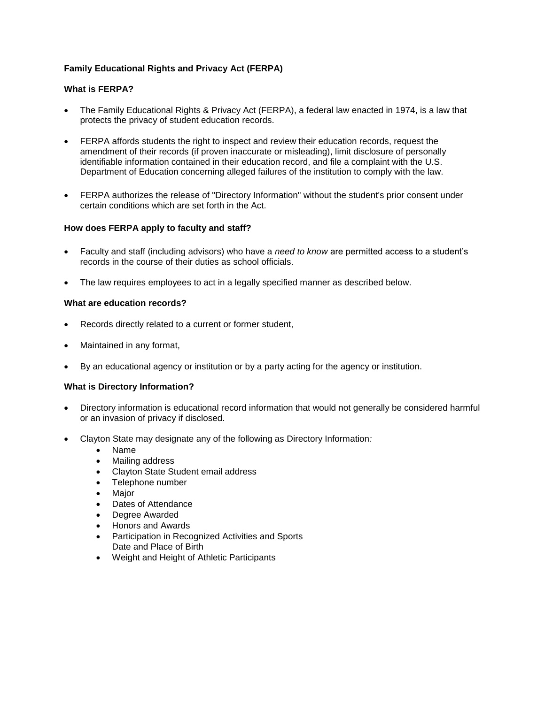# **Family Educational Rights and Privacy Act (FERPA)**

## **What is FERPA?**

- The Family Educational Rights & Privacy Act (FERPA), a federal law enacted in 1974, is a law that protects the privacy of student education records.
- FERPA affords students the right to inspect and review their education records, request the amendment of their records (if proven inaccurate or misleading), limit disclosure of personally identifiable information contained in their education record, and file a complaint with the U.S. Department of Education concerning alleged failures of the institution to comply with the law.
- FERPA authorizes the release of "Directory Information" without the student's prior consent under certain conditions which are set forth in the Act.

## **How does FERPA apply to faculty and staff?**

- Faculty and staff (including advisors) who have a *need to know* are permitted access to a student's records in the course of their duties as school officials.
- The law requires employees to act in a legally specified manner as described below.

#### **What are education records?**

- Records directly related to a current or former student,
- Maintained in any format,
- By an educational agency or institution or by a party acting for the agency or institution.

## **What is Directory Information?**

- Directory information is educational record information that would not generally be considered harmful or an invasion of privacy if disclosed.
- Clayton State may designate any of the following as Directory Information*:*
	- Name
	- Mailing address
	- Clayton State Student email address
	- Telephone number
	- Major
	- Dates of Attendance
	- Degree Awarded
	- Honors and Awards
	- Participation in Recognized Activities and Sports Date and Place of Birth
	- Weight and Height of Athletic Participants